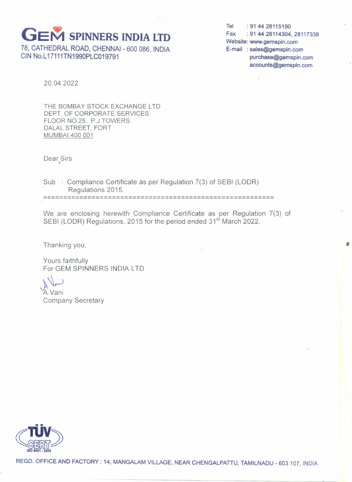## **GEM SPINNERS INDIA LTD**

78, CATHEDRAL ROAD, CHENNAI - 600 086, INDIA CIN No.L17111TN1990PLC019791

Tel: 91 44 28115190 Fax: 91 44 28114304, 28117338 Website: www.gemspin.com E-mail: sales@gemspin.com purchase@gemspin.com accounts@gemspin.com

20.04.2022

THE BOMBAY STOCK EXCHANGE LTD DEPT. OF CORPORATE SERVICES FLOOR NO.25, P.J.TOWERS DALAL STREET, FORT MUMBAI 400 001

Dear<sub>,</sub>Sirs

Sub : Compliance Certificate as per Regulation 7(3) of SEBI (LODR) Regulations 2015.

====================================================~=**===**

We are enclosing herewith Compliance Certificate as per Regulation 7(3) of SEBI (LODR) Regulations, 2015 for the period ended 31<sup>st</sup> March 2022.

Thanking you, the contract of the contract of the contract of the contract of the contract of the contract of the contract of the contract of the contract of the contract of the contract of the contract of the contract of

Yours faithfully For GEM SPINNERS INDIA LTO

 $\mathcal{A}$ 

AVani Company Secretary